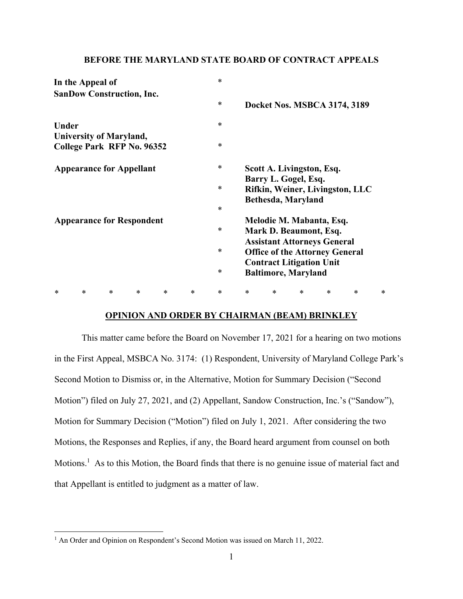### **BEFORE THE MARYLAND STATE BOARD OF CONTRACT APPEALS**

| In the Appeal of                 | $\ast$ |                                       |
|----------------------------------|--------|---------------------------------------|
| <b>SanDow Construction, Inc.</b> |        |                                       |
|                                  | $\ast$ | Docket Nos. MSBCA 3174, 3189          |
| <b>Under</b>                     | $\ast$ |                                       |
| <b>University of Maryland,</b>   |        |                                       |
| College Park RFP No. 96352       | $\ast$ |                                       |
| <b>Appearance for Appellant</b>  | $\ast$ | Scott A. Livingston, Esq.             |
|                                  |        | Barry L. Gogel, Esq.                  |
|                                  | $\ast$ | Rifkin, Weiner, Livingston, LLC       |
|                                  |        | Bethesda, Maryland                    |
|                                  | $\ast$ |                                       |
| <b>Appearance for Respondent</b> |        | Melodie M. Mabanta, Esq.              |
|                                  | $\ast$ | Mark D. Beaumont, Esq.                |
|                                  |        | <b>Assistant Attorneys General</b>    |
|                                  | $\ast$ | <b>Office of the Attorney General</b> |
|                                  |        | <b>Contract Litigation Unit</b>       |
|                                  | $\ast$ | <b>Baltimore, Maryland</b>            |
|                                  |        |                                       |

#### **OPINION AND ORDER BY CHAIRMAN (BEAM) BRINKLEY**

\* \* \* \* \* \* \* \* \* \* \* \* \*

 This matter came before the Board on November 17, 2021 for a hearing on two motions in the First Appeal, MSBCA No. 3174: (1) Respondent, University of Maryland College Park's Second Motion to Dismiss or, in the Alternative, Motion for Summary Decision ("Second Motion") filed on July 27, 2021, and (2) Appellant, Sandow Construction, Inc.'s ("Sandow"), Motion for Summary Decision ("Motion") filed on July 1, 2021. After considering the two Motions, the Responses and Replies, if any, the Board heard argument from counsel on both Motions.<sup>1</sup> As to this Motion, the Board finds that there is no genuine issue of material fact and that Appellant is entitled to judgment as a matter of law.

<sup>&</sup>lt;sup>1</sup> An Order and Opinion on Respondent's Second Motion was issued on March 11, 2022.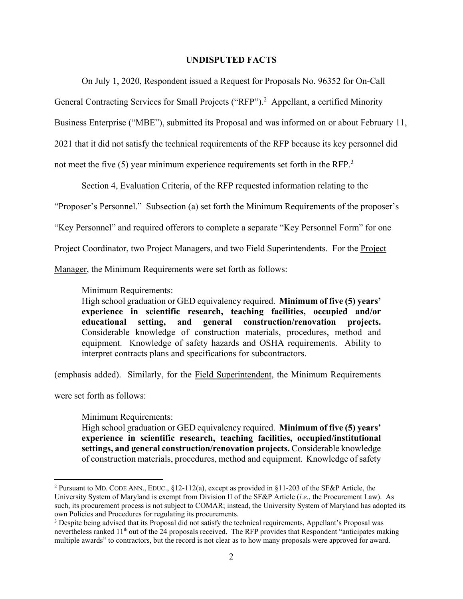#### **UNDISPUTED FACTS**

On July 1, 2020, Respondent issued a Request for Proposals No. 96352 for On-Call

General Contracting Services for Small Projects ("RFP").<sup>2</sup> Appellant, a certified Minority

Business Enterprise ("MBE"), submitted its Proposal and was informed on or about February 11,

2021 that it did not satisfy the technical requirements of the RFP because its key personnel did

not meet the five  $(5)$  year minimum experience requirements set forth in the RFP.<sup>3</sup>

Section 4, Evaluation Criteria, of the RFP requested information relating to the

"Proposer's Personnel." Subsection (a) set forth the Minimum Requirements of the proposer's

"Key Personnel" and required offerors to complete a separate "Key Personnel Form" for one

Project Coordinator, two Project Managers, and two Field Superintendents. For the Project

Manager, the Minimum Requirements were set forth as follows:

Minimum Requirements:

High school graduation or GED equivalency required. **Minimum of five (5) years' experience in scientific research, teaching facilities, occupied and/or educational setting, and general construction/renovation projects.** Considerable knowledge of construction materials, procedures, method and equipment. Knowledge of safety hazards and OSHA requirements. Ability to interpret contracts plans and specifications for subcontractors.

(emphasis added). Similarly, for the Field Superintendent, the Minimum Requirements

were set forth as follows:

Minimum Requirements:

High school graduation or GED equivalency required. **Minimum of five (5) years' experience in scientific research, teaching facilities, occupied/institutional settings, and general construction/renovation projects.** Considerable knowledge of construction materials, procedures, method and equipment. Knowledge of safety

<sup>&</sup>lt;sup>2</sup> Pursuant to MD. CODE ANN., EDUC., §12-112(a), except as provided in §11-203 of the SF&P Article, the University System of Maryland is exempt from Division II of the SF&P Article (*i.e*., the Procurement Law). As such, its procurement process is not subject to COMAR; instead, the University System of Maryland has adopted its own Policies and Procedures for regulating its procurements.

<sup>&</sup>lt;sup>3</sup> Despite being advised that its Proposal did not satisfy the technical requirements, Appellant's Proposal was nevertheless ranked 11<sup>th</sup> out of the 24 proposals received. The RFP provides that Respondent "anticipates making multiple awards" to contractors, but the record is not clear as to how many proposals were approved for award.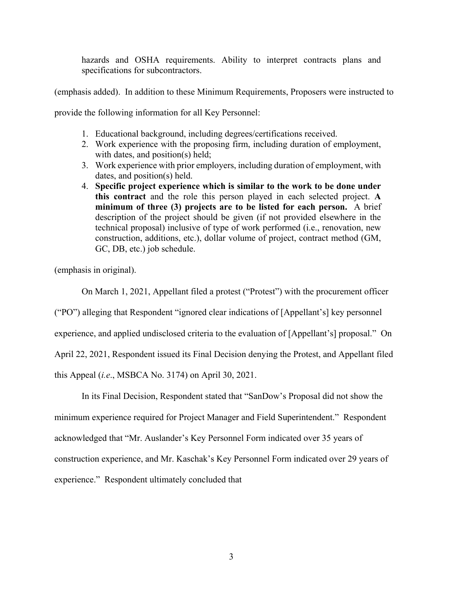hazards and OSHA requirements. Ability to interpret contracts plans and specifications for subcontractors.

(emphasis added). In addition to these Minimum Requirements, Proposers were instructed to

provide the following information for all Key Personnel:

- 1. Educational background, including degrees/certifications received.
- 2. Work experience with the proposing firm, including duration of employment, with dates, and position(s) held;
- 3. Work experience with prior employers, including duration of employment, with dates, and position(s) held.
- 4. **Specific project experience which is similar to the work to be done under this contract** and the role this person played in each selected project. **A minimum of three (3) projects are to be listed for each person.** A brief description of the project should be given (if not provided elsewhere in the technical proposal) inclusive of type of work performed (i.e., renovation, new construction, additions, etc.), dollar volume of project, contract method (GM, GC, DB, etc.) job schedule.

(emphasis in original).

On March 1, 2021, Appellant filed a protest ("Protest") with the procurement officer

("PO") alleging that Respondent "ignored clear indications of [Appellant's] key personnel

experience, and applied undisclosed criteria to the evaluation of [Appellant's] proposal." On

April 22, 2021, Respondent issued its Final Decision denying the Protest, and Appellant filed

this Appeal (*i.e*., MSBCA No. 3174) on April 30, 2021.

In its Final Decision, Respondent stated that "SanDow's Proposal did not show the minimum experience required for Project Manager and Field Superintendent." Respondent acknowledged that "Mr. Auslander's Key Personnel Form indicated over 35 years of construction experience, and Mr. Kaschak's Key Personnel Form indicated over 29 years of experience." Respondent ultimately concluded that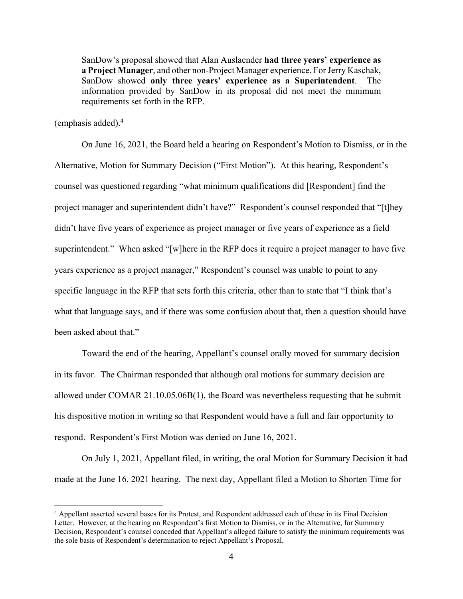SanDow's proposal showed that Alan Auslaender **had three years' experience as a Project Manager**, and other non-Project Manager experience. For Jerry Kaschak, SanDow showed **only three years' experience as a Superintendent**. The information provided by SanDow in its proposal did not meet the minimum requirements set forth in the RFP.

(emphasis added).4

On June 16, 2021, the Board held a hearing on Respondent's Motion to Dismiss, or in the Alternative, Motion for Summary Decision ("First Motion"). At this hearing, Respondent's counsel was questioned regarding "what minimum qualifications did [Respondent] find the project manager and superintendent didn't have?" Respondent's counsel responded that "[t]hey didn't have five years of experience as project manager or five years of experience as a field superintendent." When asked "[w]here in the RFP does it require a project manager to have five years experience as a project manager," Respondent's counsel was unable to point to any specific language in the RFP that sets forth this criteria, other than to state that "I think that's what that language says, and if there was some confusion about that, then a question should have been asked about that."

Toward the end of the hearing, Appellant's counsel orally moved for summary decision in its favor. The Chairman responded that although oral motions for summary decision are allowed under COMAR 21.10.05.06B(1), the Board was nevertheless requesting that he submit his dispositive motion in writing so that Respondent would have a full and fair opportunity to respond. Respondent's First Motion was denied on June 16, 2021.

On July 1, 2021, Appellant filed, in writing, the oral Motion for Summary Decision it had made at the June 16, 2021 hearing. The next day, Appellant filed a Motion to Shorten Time for

<sup>&</sup>lt;sup>4</sup> Appellant asserted several bases for its Protest, and Respondent addressed each of these in its Final Decision Letter. However, at the hearing on Respondent's first Motion to Dismiss, or in the Alternative, for Summary Decision, Respondent's counsel conceded that Appellant's alleged failure to satisfy the minimum requirements was the sole basis of Respondent's determination to reject Appellant's Proposal.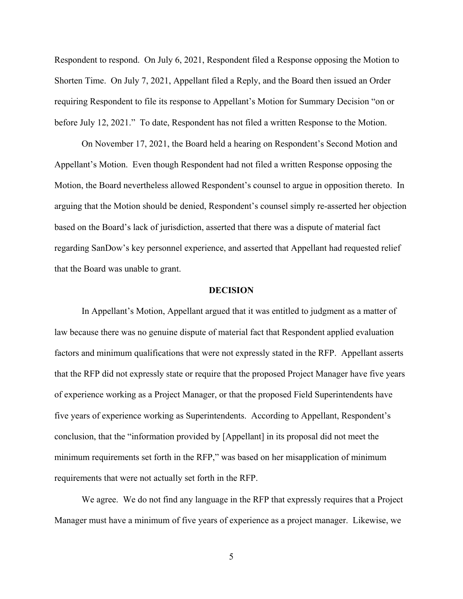Respondent to respond. On July 6, 2021, Respondent filed a Response opposing the Motion to Shorten Time. On July 7, 2021, Appellant filed a Reply, and the Board then issued an Order requiring Respondent to file its response to Appellant's Motion for Summary Decision "on or before July 12, 2021." To date, Respondent has not filed a written Response to the Motion.

On November 17, 2021, the Board held a hearing on Respondent's Second Motion and Appellant's Motion. Even though Respondent had not filed a written Response opposing the Motion, the Board nevertheless allowed Respondent's counsel to argue in opposition thereto. In arguing that the Motion should be denied, Respondent's counsel simply re-asserted her objection based on the Board's lack of jurisdiction, asserted that there was a dispute of material fact regarding SanDow's key personnel experience, and asserted that Appellant had requested relief that the Board was unable to grant.

#### **DECISION**

In Appellant's Motion, Appellant argued that it was entitled to judgment as a matter of law because there was no genuine dispute of material fact that Respondent applied evaluation factors and minimum qualifications that were not expressly stated in the RFP. Appellant asserts that the RFP did not expressly state or require that the proposed Project Manager have five years of experience working as a Project Manager, or that the proposed Field Superintendents have five years of experience working as Superintendents. According to Appellant, Respondent's conclusion, that the "information provided by [Appellant] in its proposal did not meet the minimum requirements set forth in the RFP," was based on her misapplication of minimum requirements that were not actually set forth in the RFP.

We agree. We do not find any language in the RFP that expressly requires that a Project Manager must have a minimum of five years of experience as a project manager. Likewise, we

5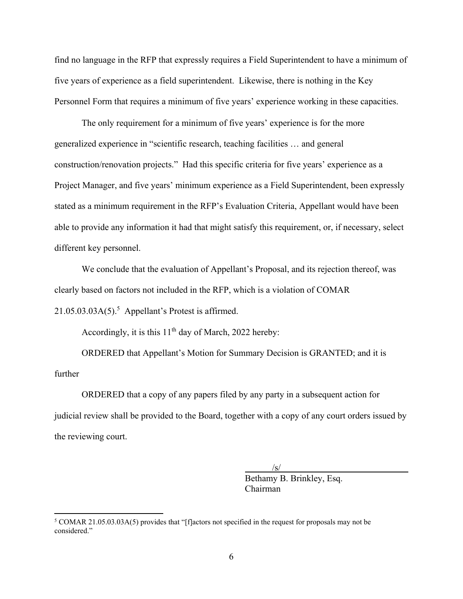find no language in the RFP that expressly requires a Field Superintendent to have a minimum of five years of experience as a field superintendent. Likewise, there is nothing in the Key Personnel Form that requires a minimum of five years' experience working in these capacities.

The only requirement for a minimum of five years' experience is for the more generalized experience in "scientific research, teaching facilities … and general construction/renovation projects." Had this specific criteria for five years' experience as a Project Manager, and five years' minimum experience as a Field Superintendent, been expressly stated as a minimum requirement in the RFP's Evaluation Criteria, Appellant would have been able to provide any information it had that might satisfy this requirement, or, if necessary, select different key personnel.

We conclude that the evaluation of Appellant's Proposal, and its rejection thereof, was clearly based on factors not included in the RFP, which is a violation of COMAR  $21.05.03.03A(5).$ <sup>5</sup> Appellant's Protest is affirmed.

Accordingly, it is this  $11<sup>th</sup>$  day of March, 2022 hereby:

ORDERED that Appellant's Motion for Summary Decision is GRANTED; and it is further

ORDERED that a copy of any papers filed by any party in a subsequent action for judicial review shall be provided to the Board, together with a copy of any court orders issued by the reviewing court.

 $\frac{1}{\sqrt{S}}$  Bethamy B. Brinkley, Esq. Chairman

<sup>&</sup>lt;sup>5</sup> COMAR 21.05.03.03A(5) provides that "[f]actors not specified in the request for proposals may not be considered."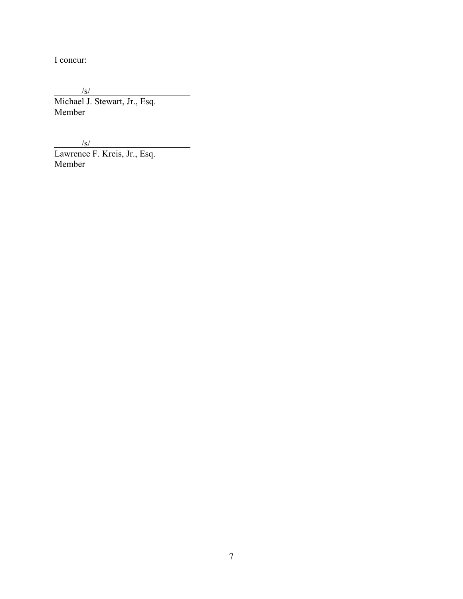I concur:

 $/$ s/ Michael J. Stewart, Jr., Esq. Member

 $/$ s/

Lawrence F. Kreis, Jr., Esq. Member